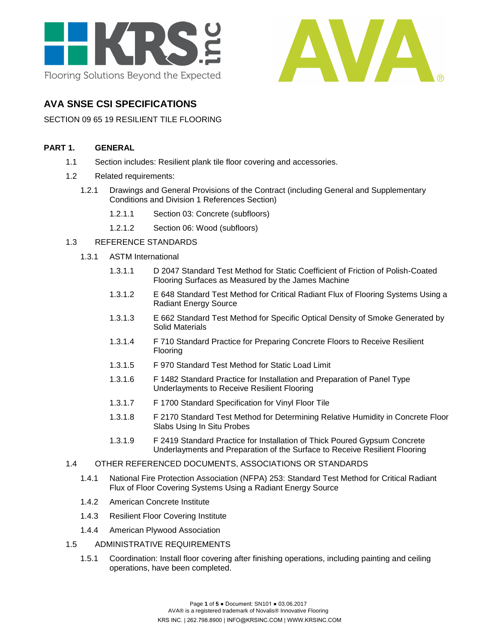



## **AVA SNSE CSI SPECIFICATIONS**

### SECTION 09 65 19 RESILIENT TILE FLOORING

### **PART 1. GENERAL**

- 1.1 Section includes: Resilient plank tile floor covering and accessories.
- 1.2 Related requirements:
	- 1.2.1 Drawings and General Provisions of the Contract (including General and Supplementary Conditions and Division 1 References Section)
		- 1.2.1.1 Section 03: Concrete (subfloors)
		- 1.2.1.2 Section 06: Wood (subfloors)

### 1.3 REFERENCE STANDARDS

- 1.3.1 ASTM International
	- 1.3.1.1 D 2047 Standard Test Method for Static Coefficient of Friction of Polish-Coated Flooring Surfaces as Measured by the James Machine
	- 1.3.1.2 E 648 Standard Test Method for Critical Radiant Flux of Flooring Systems Using a Radiant Energy Source
	- 1.3.1.3 E 662 Standard Test Method for Specific Optical Density of Smoke Generated by Solid Materials
	- 1.3.1.4 F 710 Standard Practice for Preparing Concrete Floors to Receive Resilient Flooring
	- 1.3.1.5 F 970 Standard Test Method for Static Load Limit
	- 1.3.1.6 F 1482 Standard Practice for Installation and Preparation of Panel Type Underlayments to Receive Resilient Flooring
	- 1.3.1.7 F 1700 Standard Specification for Vinyl Floor Tile
	- 1.3.1.8 F 2170 Standard Test Method for Determining Relative Humidity in Concrete Floor Slabs Using In Situ Probes
	- 1.3.1.9 F 2419 Standard Practice for Installation of Thick Poured Gypsum Concrete Underlayments and Preparation of the Surface to Receive Resilient Flooring

### 1.4 OTHER REFERENCED DOCUMENTS, ASSOCIATIONS OR STANDARDS

- 1.4.1 National Fire Protection Association (NFPA) 253: Standard Test Method for Critical Radiant Flux of Floor Covering Systems Using a Radiant Energy Source
- 1.4.2 American Concrete Institute
- 1.4.3 Resilient Floor Covering Institute
- 1.4.4 American Plywood Association
- 1.5 ADMINISTRATIVE REQUIREMENTS
	- 1.5.1 Coordination: Install floor covering after finishing operations, including painting and ceiling operations, have been completed.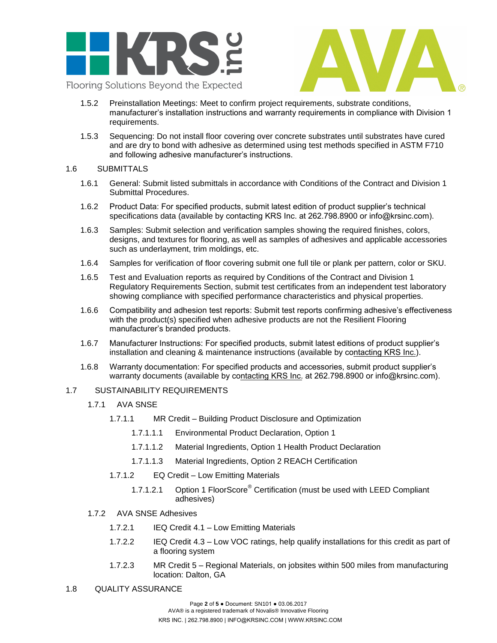



- 1.5.2 Preinstallation Meetings: Meet to confirm project requirements, substrate conditions, manufacturer's installation instructions and warranty requirements in compliance with Division 1 requirements.
- 1.5.3 Sequencing: Do not install floor covering over concrete substrates until substrates have cured and are dry to bond with adhesive as determined using test methods specified in ASTM F710 and following adhesive manufacturer's instructions.

### 1.6 SUBMITTALS

- 1.6.1 General: Submit listed submittals in accordance with Conditions of the Contract and Division 1 Submittal Procedures.
- 1.6.2 Product Data: For specified products, submit latest edition of product supplier's technical specifications data (available by c[ontacting KRS Inc.](http://www.matsinc.com/) at 262.798.8900 or info@krsinc.com).
- 1.6.3 Samples: Submit selection and verification samples showing the required finishes, colors, designs, and textures for flooring, as well as samples of adhesives and applicable accessories such as underlayment, trim moldings, etc.
- 1.6.4 Samples for verification of floor covering submit one full tile or plank per pattern, color or SKU.
- 1.6.5 Test and Evaluation reports as required by Conditions of the Contract and Division 1 Regulatory Requirements Section, submit test certificates from an independent test laboratory showing compliance with specified performance characteristics and physical properties.
- 1.6.6 Compatibility and adhesion test reports: Submit test reports confirming adhesive's effectiveness with the product(s) specified when adhesive products are not the Resilient Flooring manufacturer's branded products.
- 1.6.7 Manufacturer Instructions: For specified products, submit latest editions of product supplier's installation and cleaning & maintenance instructions (available by c[ontacting KRS Inc.](http://www.avaflor.com/)).
- 1.6.8 Warranty documentation: For specified products and accessories, submit product supplier's warranty documents (available by c[ontacting KRS Inc.](http://www.avaflor.com/) at 262.798.8900 or info@krsinc.com).

### 1.7 SUSTAINABILITY REQUIREMENTS

- 1.7.1 AVA SNSE
	- 1.7.1.1 MR Credit Building Product Disclosure and Optimization
		- 1.7.1.1.1 Environmental Product Declaration, Option 1
		- 1.7.1.1.2 Material Ingredients, Option 1 Health Product Declaration
		- 1.7.1.1.3 Material Ingredients, Option 2 REACH Certification
	- 1.7.1.2 EQ Credit Low Emitting Materials
		- 1.7.1.2.1 Option 1 FloorScore<sup>®</sup> Certification (must be used with LEED Compliant adhesives)
- 1.7.2 AVA SNSE Adhesives
	- 1.7.2.1 IEQ Credit 4.1 Low Emitting Materials
	- 1.7.2.2 IEQ Credit 4.3 Low VOC ratings, help qualify installations for this credit as part of a flooring system
	- 1.7.2.3 MR Credit 5 Regional Materials, on jobsites within 500 miles from manufacturing location: Dalton, GA

### 1.8 QUALITY ASSURANCE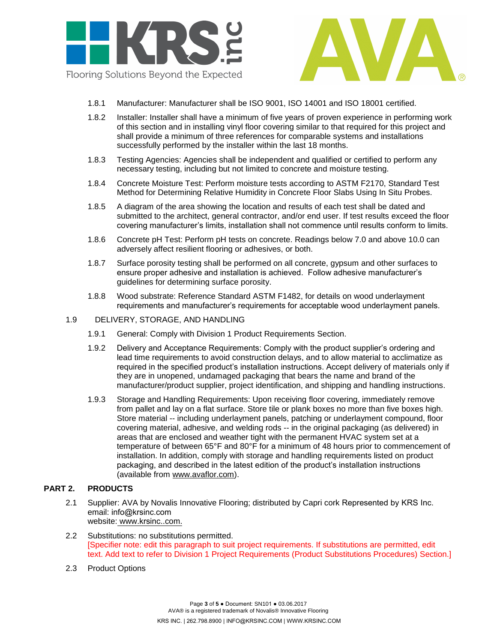



- 1.8.1 Manufacturer: Manufacturer shall be ISO 9001, ISO 14001 and ISO 18001 certified.
- 1.8.2 Installer: Installer shall have a minimum of five years of proven experience in performing work of this section and in installing vinyl floor covering similar to that required for this project and shall provide a minimum of three references for comparable systems and installations successfully performed by the installer within the last 18 months.
- 1.8.3 Testing Agencies: Agencies shall be independent and qualified or certified to perform any necessary testing, including but not limited to concrete and moisture testing.
- 1.8.4 Concrete Moisture Test: Perform moisture tests according to ASTM F2170, Standard Test Method for Determining Relative Humidity in Concrete Floor Slabs Using In Situ Probes.
- 1.8.5 A diagram of the area showing the location and results of each test shall be dated and submitted to the architect, general contractor, and/or end user. If test results exceed the floor covering manufacturer's limits, installation shall not commence until results conform to limits.
- 1.8.6 Concrete pH Test: Perform pH tests on concrete. Readings below 7.0 and above 10.0 can adversely affect resilient flooring or adhesives, or both.
- 1.8.7 Surface porosity testing shall be performed on all concrete, gypsum and other surfaces to ensure proper adhesive and installation is achieved. Follow adhesive manufacturer's guidelines for determining surface porosity.
- 1.8.8 Wood substrate: Reference Standard ASTM F1482, for details on wood underlayment requirements and manufacturer's requirements for acceptable wood underlayment panels.
- 1.9 DELIVERY, STORAGE, AND HANDLING
	- 1.9.1 General: Comply with Division 1 Product Requirements Section.
	- 1.9.2 Delivery and Acceptance Requirements: Comply with the product supplier's ordering and lead time requirements to avoid construction delays, and to allow material to acclimatize as required in the specified product's installation instructions. Accept delivery of materials only if they are in unopened, undamaged packaging that bears the name and brand of the manufacturer/product supplier, project identification, and shipping and handling instructions.
	- 1.9.3 Storage and Handling Requirements: Upon receiving floor covering, immediately remove from pallet and lay on a flat surface. Store tile or plank boxes no more than five boxes high. Store material -- including underlayment panels, patching or underlayment compound, floor covering material, adhesive, and welding rods -- in the original packaging (as delivered) in areas that are enclosed and weather tight with the permanent HVAC system set at a temperature of between 65°F and 80°F for a minimum of 48 hours prior to commencement of installation. In addition, comply with storage and handling requirements listed on product packaging, and described in the latest edition of the product's installation instructions (available from [www.avaflor.com\)](http://www.avaflor.com/).

#### **PART 2. PRODUCTS**

- 2.1 Supplier: AVA by Novalis Innovative Flooring; distributed by Capri cork Represented by KRS Inc. email: [info@krsinc.com](mailto:sales@avaflor.com) website: www.[krsinc.](http://www.matsinc.com/).com.
- 2.2 Substitutions: no substitutions permitted. [Specifier note: edit this paragraph to suit project requirements. If substitutions are permitted, edit text. Add text to refer to Division 1 Project Requirements (Product Substitutions Procedures) Section.]
- 2.3 Product Options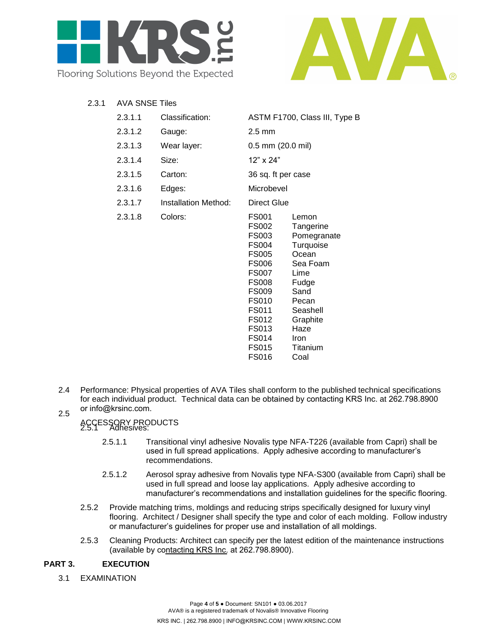



2.3.1 AVA SNSE Tiles

| 2.3.1.1 | Classification:      | ASTM F1700, Class III, Type B                                                                                                                       |                                                                                                                                                                          |
|---------|----------------------|-----------------------------------------------------------------------------------------------------------------------------------------------------|--------------------------------------------------------------------------------------------------------------------------------------------------------------------------|
| 2.3.1.2 | Gauge:               | $2.5 \text{ mm}$                                                                                                                                    |                                                                                                                                                                          |
| 2.3.1.3 | Wear layer:          | $0.5$ mm $(20.0$ mil)                                                                                                                               |                                                                                                                                                                          |
| 2.3.1.4 | Size:                | 12" x 24"                                                                                                                                           |                                                                                                                                                                          |
| 2.3.1.5 | Carton:              | 36 sq. ft per case                                                                                                                                  |                                                                                                                                                                          |
| 2.3.1.6 | Edges:               | Microbevel                                                                                                                                          |                                                                                                                                                                          |
| 2.3.1.7 | Installation Method: | <b>Direct Glue</b>                                                                                                                                  |                                                                                                                                                                          |
| 2.3.1.8 | Colors:              | FS001<br>FS002<br>FS003<br>FS004<br>FS005<br>FS006<br>FS007<br>FS008<br>FS009<br>FS010<br>FS011<br>FS012<br>FS013<br>FS014<br>FS015<br><b>FS016</b> | Lemon<br>Tangerine<br>Pomegranate<br>Turquoise<br>Ocean<br>Sea Foam<br>Lime<br>Fudge<br>Sand<br>Pecan<br>Seashell<br>Graphite<br>Haze<br><b>Iron</b><br>Titanium<br>Coal |

2.4 2.5 Performance: Physical properties of AVA Tiles shall conform to the published technical specifications for each individual product. Technical data can be obtaine[d by contacting KRS](http://www.avaflor.com/) Inc. at 262.798.8900 or info@krsinc.com.

# ACCESSORY PRODUCTS 2.5.1 Adhesives:

- - 2.5.1.1 Transitional vinyl adhesive Novalis type NFA-T226 (available from Capri) shall be used in full spread applications. Apply adhesive according to manufacturer's recommendations.
	- 2.5.1.2 Aerosol spray adhesive from Novalis type NFA-S300 (available from Capri) shall be used in full spread and loose lay applications. Apply adhesive according to manufacturer's recommendations and installation guidelines for the specific flooring.
- 2.5.2 Provide matching trims, moldings and reducing strips specifically designed for luxury vinyl flooring. Architect / Designer shall specify the type and color of each molding. Follow industry or manufacturer's guidelines for proper use and installation of all moldings.
- 2.5.3 Cleaning Products: Architect can specify per the latest edition of the maintenance instructions (available by c[ontacting KRS Inc.](http://www.matsinc.com/) at 262.798.8900).

### **PART 3. EXECUTION**

3.1 EXAMINATION